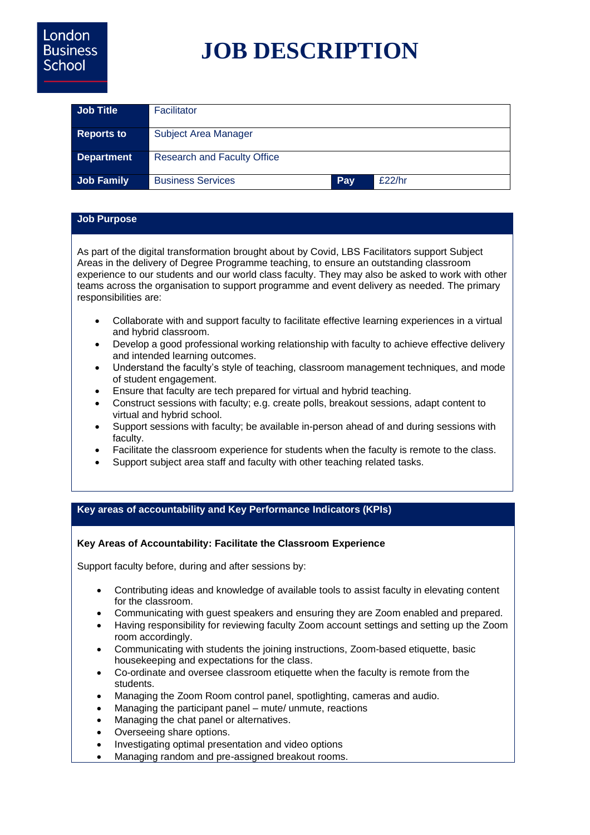# **JOB DESCRIPTION**

| <b>Job Title</b>  | Facilitator                        |     |        |
|-------------------|------------------------------------|-----|--------|
| <b>Reports to</b> | Subject Area Manager               |     |        |
| <b>Department</b> | <b>Research and Faculty Office</b> |     |        |
| <b>Job Family</b> | <b>Business Services</b>           | Pay | £22/hr |

## **Job Purpose**

As part of the digital transformation brought about by Covid, LBS Facilitators support Subject Areas in the delivery of Degree Programme teaching, to ensure an outstanding classroom experience to our students and our world class faculty. They may also be asked to work with other teams across the organisation to support programme and event delivery as needed. The primary responsibilities are:

- Collaborate with and support faculty to facilitate effective learning experiences in a virtual and hybrid classroom.
- Develop a good professional working relationship with faculty to achieve effective delivery and intended learning outcomes.
- Understand the faculty's style of teaching, classroom management techniques, and mode of student engagement.
- Ensure that faculty are tech prepared for virtual and hybrid teaching.
- Construct sessions with faculty; e.g. create polls, breakout sessions, adapt content to virtual and hybrid school.
- Support sessions with faculty; be available in-person ahead of and during sessions with faculty.
- Facilitate the classroom experience for students when the faculty is remote to the class.
- Support subject area staff and faculty with other teaching related tasks.

#### **Key areas of accountability and Key Performance Indicators (KPIs)**

#### **Key Areas of Accountability: Facilitate the Classroom Experience**

Support faculty before, during and after sessions by:

- Contributing ideas and knowledge of available tools to assist faculty in elevating content for the classroom.
- Communicating with guest speakers and ensuring they are Zoom enabled and prepared.
- Having responsibility for reviewing faculty Zoom account settings and setting up the Zoom room accordingly.
- Communicating with students the joining instructions, Zoom-based etiquette, basic housekeeping and expectations for the class.
- Co-ordinate and oversee classroom etiquette when the faculty is remote from the students.
- Managing the Zoom Room control panel, spotlighting, cameras and audio.
- Managing the participant panel mute/ unmute, reactions
- Managing the chat panel or alternatives.
- Overseeing share options.
- Investigating optimal presentation and video options
- Managing random and pre-assigned breakout rooms.